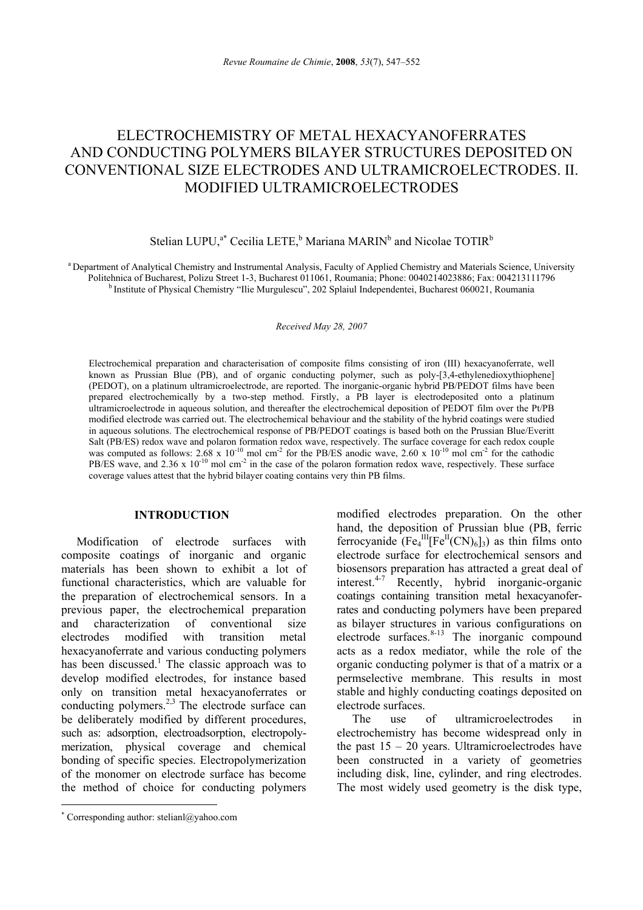# ELECTROCHEMISTRY OF METAL HEXACYANOFERRATES AND CONDUCTING POLYMERS BILAYER STRUCTURES DEPOSITED ON CONVENTIONAL SIZE ELECTRODES AND ULTRAMICROELECTRODES. II. MODIFIED ULTRAMICROELECTRODES

## Stelian LUPU,<sup>a\*</sup> Cecilia LETE,<sup>b</sup> Mariana MARIN<sup>b</sup> and Nicolae TOTIR<sup>b</sup>

<sup>a</sup> Department of Analytical Chemistry and Instrumental Analysis, Faculty of Applied Chemistry and Materials Science, University<br>Politehnica of Bucharest, Polizu Street 1-3, Bucharest 011061, Roumania; Phone: 0040214023886 <sup>b</sup> Institute of Physical Chemistry "Ilie Murgulescu", 202 Splaiul Independentei, Bucharest 060021, Roumania

*Received May 28, 2007*

Electrochemical preparation and characterisation of composite films consisting of iron (III) hexacyanoferrate, well known as Prussian Blue (PB), and of organic conducting polymer, such as poly-[3,4-ethylenedioxythiophene] (PEDOT), on a platinum ultramicroelectrode, are reported. The inorganic-organic hybrid PB/PEDOT films have been prepared electrochemically by a two-step method. Firstly, a PB layer is electrodeposited onto a platinum ultramicroelectrode in aqueous solution, and thereafter the electrochemical deposition of PEDOT film over the Pt/PB modified electrode was carried out. The electrochemical behaviour and the stability of the hybrid coatings were studied in aqueous solutions. The electrochemical response of PB/PEDOT coatings is based both on the Prussian Blue/Everitt Salt (PB/ES) redox wave and polaron formation redox wave, respectively. The surface coverage for each redox couple was computed as follows:  $2.68 \times 10^{-10}$  mol cm<sup>-2</sup> for the PB/ES anodic wave,  $2.60 \times 10^{-10}$  mol cm<sup>-2</sup> for the cathodic PB/ES wave, and 2.36 x  $10^{-10}$  mol cm<sup>-2</sup> in the case of the polaron formation redox wave, respectively. These surface coverage values attest that the hybrid bilayer coating contains very thin PB films.

## **INTRODUCTION**<sup>∗</sup>

Modification of electrode surfaces with composite coatings of inorganic and organic materials has been shown to exhibit a lot of functional characteristics, which are valuable for the preparation of electrochemical sensors. In a previous paper, the electrochemical preparation and characterization of conventional size electrodes modified with transition metal hexacyanoferrate and various conducting polymers has been discussed.<sup>1</sup> The classic approach was to develop modified electrodes, for instance based only on transition metal hexacyanoferrates or conducting polymers.<sup>2,3</sup> The electrode surface can be deliberately modified by different procedures, such as: adsorption, electroadsorption, electropolymerization, physical coverage and chemical bonding of specific species. Electropolymerization of the monomer on electrode surface has become the method of choice for conducting polymers

 $\overline{a}$ 

modified electrodes preparation. On the other hand, the deposition of Prussian blue (PB, ferric ferrocyanide  $(Fe<sub>4</sub><sup>III</sup>[Fe<sup>II</sup>(CN)<sub>6</sub>]$ <sub>3</sub>) as thin films onto electrode surface for electrochemical sensors and biosensors preparation has attracted a great deal of interest.4-7 Recently, hybrid inorganic-organic coatings containing transition metal hexacyanoferrates and conducting polymers have been prepared as bilayer structures in various configurations on electrode surfaces. $8-13$  The inorganic compound acts as a redox mediator, while the role of the organic conducting polymer is that of a matrix or a permselective membrane. This results in most stable and highly conducting coatings deposited on electrode surfaces.

The use of ultramicroelectrodes in electrochemistry has become widespread only in the past  $15 - 20$  years. Ultramicroelectrodes have been constructed in a variety of geometries including disk, line, cylinder, and ring electrodes. The most widely used geometry is the disk type,

<sup>∗</sup> Corresponding author: stelianl@yahoo.com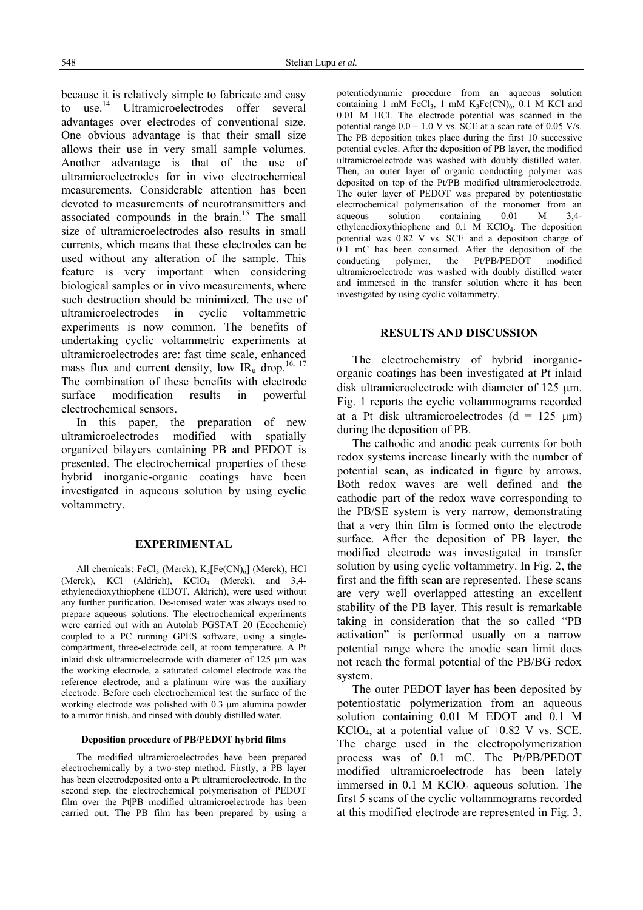because it is relatively simple to fabricate and easy to use.<sup>14</sup> Ultramicroelectrodes offer several advantages over electrodes of conventional size. One obvious advantage is that their small size allows their use in very small sample volumes. Another advantage is that of the use of ultramicroelectrodes for in vivo electrochemical measurements. Considerable attention has been devoted to measurements of neurotransmitters and associated compounds in the brain.<sup>15</sup> The small size of ultramicroelectrodes also results in small currents, which means that these electrodes can be used without any alteration of the sample. This feature is very important when considering biological samples or in vivo measurements, where such destruction should be minimized. The use of ultramicroelectrodes in cyclic voltammetric experiments is now common. The benefits of undertaking cyclic voltammetric experiments at ultramicroelectrodes are: fast time scale, enhanced mass flux and current density, low  $IR_u$  drop.<sup>16, 17</sup> The combination of these benefits with electrode surface modification results in powerful electrochemical sensors.

In this paper, the preparation of new ultramicroelectrodes modified with spatially organized bilayers containing PB and PEDOT is presented. The electrochemical properties of these hybrid inorganic-organic coatings have been investigated in aqueous solution by using cyclic voltammetry.

#### **EXPERIMENTAL**

All chemicals: FeCl<sub>3</sub> (Merck),  $K_3[Fe(CN)_6]$  (Merck), HCl (Merck), KCl (Aldrich), KClO<sub>4</sub> (Merck), and 3,4ethylenedioxythiophene (EDOT, Aldrich), were used without any further purification. De-ionised water was always used to prepare aqueous solutions. The electrochemical experiments were carried out with an Autolab PGSTAT 20 (Ecochemie) coupled to a PC running GPES software, using a singlecompartment, three-electrode cell, at room temperature. A Pt inlaid disk ultramicroelectrode with diameter of 125 um was the working electrode, a saturated calomel electrode was the reference electrode, and a platinum wire was the auxiliary electrode. Before each electrochemical test the surface of the working electrode was polished with 0.3 µm alumina powder to a mirror finish, and rinsed with doubly distilled water.

#### **Deposition procedure of PB/PEDOT hybrid films**

The modified ultramicroelectrodes have been prepared electrochemically by a two-step method. Firstly, a PB layer has been electrodeposited onto a Pt ultramicroelectrode. In the second step, the electrochemical polymerisation of PEDOT film over the Pt|PB modified ultramicroelectrode has been carried out. The PB film has been prepared by using a

potentiodynamic procedure from an aqueous solution containing 1 mM FeCl<sub>3</sub>, 1 mM  $K_3Fe(CN)_6$ , 0.1 M KCl and 0.01 M HCl. The electrode potential was scanned in the potential range  $0.0 - 1.0$  V vs. SCE at a scan rate of 0.05 V/s. The PB deposition takes place during the first 10 successive potential cycles. After the deposition of PB layer, the modified ultramicroelectrode was washed with doubly distilled water. Then, an outer layer of organic conducting polymer was deposited on top of the Pt/PB modified ultramicroelectrode. The outer layer of PEDOT was prepared by potentiostatic electrochemical polymerisation of the monomer from an aqueous solution containing 0.01 M 3.4solution containing  $0.01 \text{ M}$  3.4ethylenedioxythiophene and 0.1 M KClO4. The deposition potential was 0.82 V vs. SCE and a deposition charge of 0.1 mC has been consumed. After the deposition of the conducting polymer, the Pt/PB/PEDOT modified polymer, the Pt/PB/PEDOT modified ultramicroelectrode was washed with doubly distilled water and immersed in the transfer solution where it has been investigated by using cyclic voltammetry.

#### **RESULTS AND DISCUSSION**

The electrochemistry of hybrid inorganicorganic coatings has been investigated at Pt inlaid disk ultramicroelectrode with diameter of 125 um. Fig. 1 reports the cyclic voltammograms recorded at a Pt disk ultramicroelectrodes  $(d = 125 \text{ µm})$ during the deposition of PB.

The cathodic and anodic peak currents for both redox systems increase linearly with the number of potential scan, as indicated in figure by arrows. Both redox waves are well defined and the cathodic part of the redox wave corresponding to the PB/SE system is very narrow, demonstrating that a very thin film is formed onto the electrode surface. After the deposition of PB layer, the modified electrode was investigated in transfer solution by using cyclic voltammetry. In Fig. 2, the first and the fifth scan are represented. These scans are very well overlapped attesting an excellent stability of the PB layer. This result is remarkable taking in consideration that the so called "PB activation" is performed usually on a narrow potential range where the anodic scan limit does not reach the formal potential of the PB/BG redox system.

The outer PEDOT layer has been deposited by potentiostatic polymerization from an aqueous solution containing 0.01 M EDOT and 0.1 M  $KClO<sub>4</sub>$ , at a potential value of  $+0.82$  V vs. SCE. The charge used in the electropolymerization process was of 0.1 mC. The Pt/PB/PEDOT modified ultramicroelectrode has been lately immersed in  $0.1$  M KClO<sub>4</sub> aqueous solution. The first 5 scans of the cyclic voltammograms recorded at this modified electrode are represented in Fig. 3.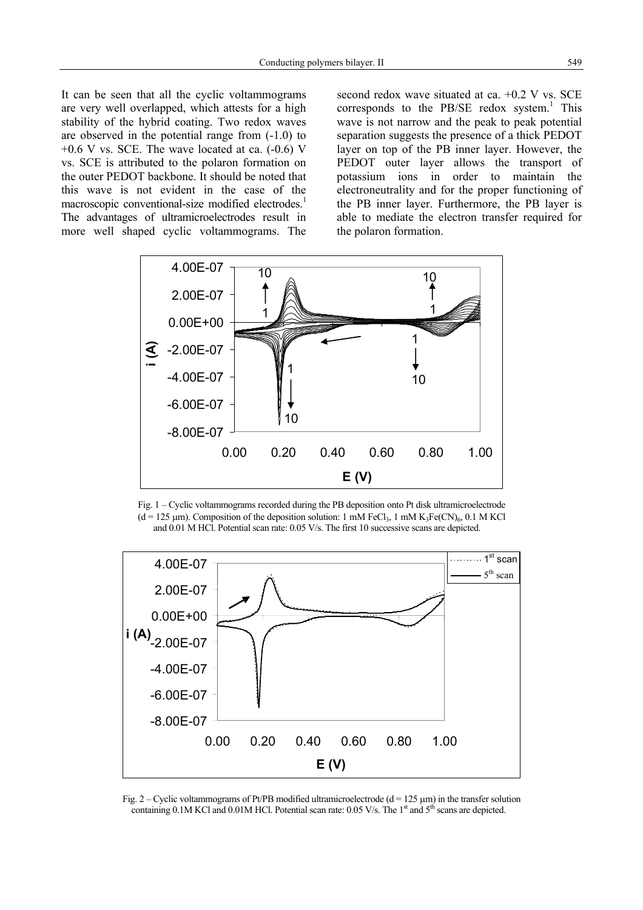It can be seen that all the cyclic voltammograms are very well overlapped, which attests for a high stability of the hybrid coating. Two redox waves are observed in the potential range from (-1.0) to  $+0.6$  V vs. SCE. The wave located at ca.  $(-0.6)$  V vs. SCE is attributed to the polaron formation on the outer PEDOT backbone. It should be noted that this wave is not evident in the case of the macroscopic conventional-size modified electrodes.<sup>1</sup> The advantages of ultramicroelectrodes result in more well shaped cyclic voltammograms. The second redox wave situated at ca. +0.2 V vs. SCE corresponds to the PB/SE redox system.<sup>1</sup> This wave is not narrow and the peak to peak potential separation suggests the presence of a thick PEDOT layer on top of the PB inner layer. However, the PEDOT outer layer allows the transport of potassium ions in order to maintain the electroneutrality and for the proper functioning of the PB inner layer. Furthermore, the PB layer is able to mediate the electron transfer required for the polaron formation.



Fig. 1 – Cyclic voltammograms recorded during the PB deposition onto Pt disk ultramicroelectrode  $(d = 125 \text{ µm})$ . Composition of the deposition solution: 1 mM FeCl<sub>3</sub>, 1 mM K<sub>3</sub>Fe(CN)<sub>6</sub>, 0.1 M KCl and 0.01 M HCl. Potential scan rate: 0.05 V/s. The first 10 successive scans are depicted.



Fig.  $2 -$  Cyclic voltammograms of Pt/PB modified ultramicroelectrode (d = 125 µm) in the transfer solution containing 0.1M KCl and 0.01M HCl. Potential scan rate: 0.05 V/s. The 1<sup>st</sup> and 5<sup>th</sup> scans are depicted.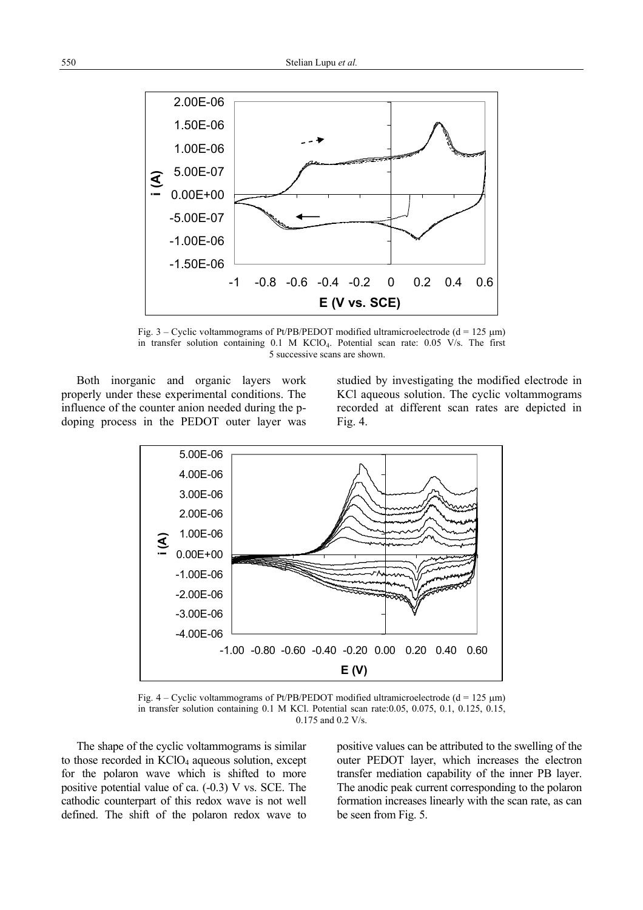

Fig.  $3$  – Cyclic voltammograms of Pt/PB/PEDOT modified ultramicroelectrode (d = 125 µm) in transfer solution containing 0.1 M KClO4. Potential scan rate: 0.05 V/s. The first 5 successive scans are shown.

Both inorganic and organic layers work properly under these experimental conditions. The influence of the counter anion needed during the pdoping process in the PEDOT outer layer was

studied by investigating the modified electrode in KCl aqueous solution. The cyclic voltammograms recorded at different scan rates are depicted in Fig. 4.



Fig.  $4 -$  Cyclic voltammograms of Pt/PB/PEDOT modified ultramicroelectrode (d = 125  $\mu$ m) in transfer solution containing 0.1 M KCl. Potential scan rate:0.05, 0.075, 0.1, 0.125, 0.15, 0.175 and 0.2 V/s.

The shape of the cyclic voltammograms is similar to those recorded in  $KClO<sub>4</sub>$  aqueous solution, except for the polaron wave which is shifted to more positive potential value of ca. (-0.3) V vs. SCE. The cathodic counterpart of this redox wave is not well defined. The shift of the polaron redox wave to positive values can be attributed to the swelling of the outer PEDOT layer, which increases the electron transfer mediation capability of the inner PB layer. The anodic peak current corresponding to the polaron formation increases linearly with the scan rate, as can be seen from Fig. 5.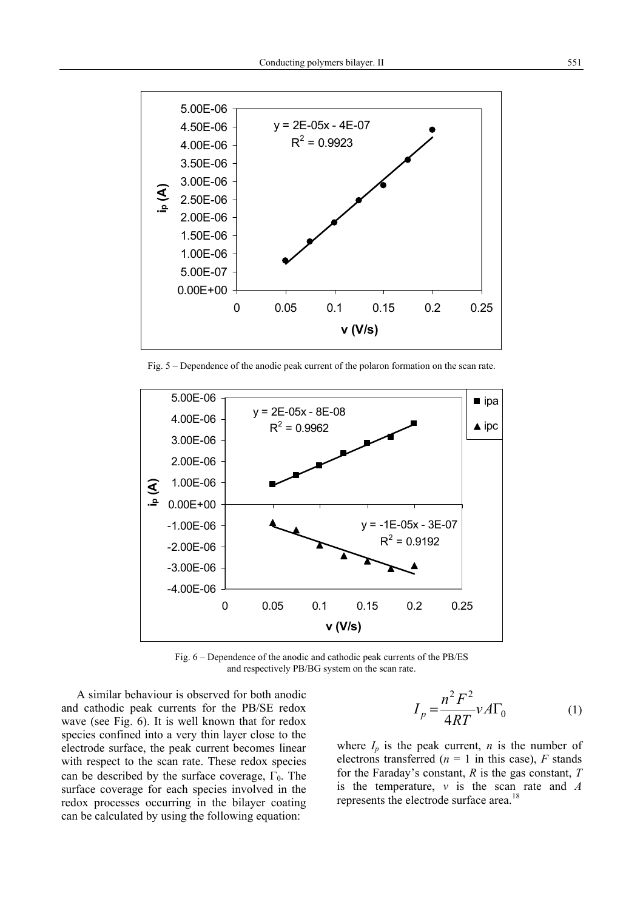

Fig. 5 – Dependence of the anodic peak current of the polaron formation on the scan rate.



Fig. 6 – Dependence of the anodic and cathodic peak currents of the PB/ES and respectively PB/BG system on the scan rate.

A similar behaviour is observed for both anodic and cathodic peak currents for the PB/SE redox wave (see Fig. 6). It is well known that for redox species confined into a very thin layer close to the electrode surface, the peak current becomes linear with respect to the scan rate. These redox species can be described by the surface coverage,  $\Gamma_0$ . The surface coverage for each species involved in the redox processes occurring in the bilayer coating can be calculated by using the following equation:

$$
I_p = \frac{n^2 F^2}{4RT} v A \Gamma_0 \tag{1}
$$

where  $I_p$  is the peak current, *n* is the number of electrons transferred ( $n = 1$  in this case),  $F$  stands for the Faraday's constant, *R* is the gas constant, *T* is the temperature, *v* is the scan rate and *A* represents the electrode surface area.<sup>18</sup>